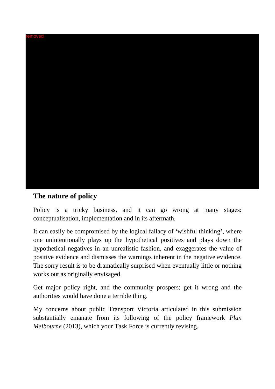

## **The nature of policy**

Policy is a tricky business, and it can go wrong at many stages: conceptualisation, implementation and in its aftermath.

It can easily be compromised by the logical fallacy of 'wishful thinking', where one unintentionally plays up the hypothetical positives and plays down the hypothetical negatives in an unrealistic fashion, and exaggerates the value of positive evidence and dismisses the warnings inherent in the negative evidence. The sorry result is to be dramatically surprised when eventually little or nothing works out as originally envisaged.

Get major policy right, and the community prospers; get it wrong and the authorities would have done a terrible thing.

My concerns about public Transport Victoria articulated in this submission substantially emanate from its following of the policy framework *Plan Melbourne* (2013), which your Task Force is currently revising.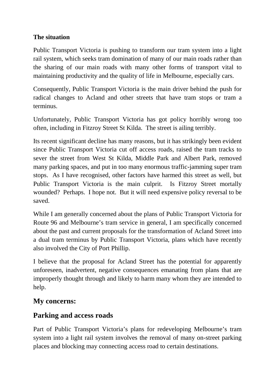#### **The situation**

Public Transport Victoria is pushing to transform our tram system into a light rail system, which seeks tram domination of many of our main roads rather than the sharing of our main roads with many other forms of transport vital to maintaining productivity and the quality of life in Melbourne, especially cars.

Consequently, Public Transport Victoria is the main driver behind the push for radical changes to Acland and other streets that have tram stops or tram a terminus.

Unfortunately, Public Transport Victoria has got policy horribly wrong too often, including in Fitzroy Street St Kilda. The street is ailing terribly.

Its recent significant decline has many reasons, but it has strikingly been evident since Public Transport Victoria cut off access roads, raised the tram tracks to sever the street from West St Kilda, Middle Park and Albert Park, removed many parking spaces, and put in too many enormous traffic-jamming super tram stops. As I have recognised, other factors have harmed this street as well, but Public Transport Victoria is the main culprit. Is Fitzroy Street mortally wounded? Perhaps. I hope not. But it will need expensive policy reversal to be saved.

While I am generally concerned about the plans of Public Transport Victoria for Route 96 and Melbourne's tram service in general, I am specifically concerned about the past and current proposals for the transformation of Acland Street into a dual tram terminus by Public Transport Victoria, plans which have recently also involved the City of Port Phillip.

I believe that the proposal for Acland Street has the potential for apparently unforeseen, inadvertent, negative consequences emanating from plans that are improperly thought through and likely to harm many whom they are intended to help.

### **My concerns:**

### **Parking and access roads**

Part of Public Transport Victoria's plans for redeveloping Melbourne's tram system into a light rail system involves the removal of many on-street parking places and blocking may connecting access road to certain destinations.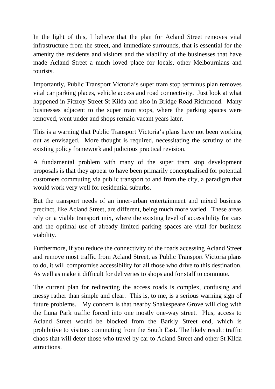In the light of this, I believe that the plan for Acland Street removes vital infrastructure from the street, and immediate surrounds, that is essential for the amenity the residents and visitors and the viability of the businesses that have made Acland Street a much loved place for locals, other Melbournians and tourists.

Importantly, Public Transport Victoria's super tram stop terminus plan removes vital car parking places, vehicle access and road connectivity. Just look at what happened in Fitzroy Street St Kilda and also in Bridge Road Richmond. Many businesses adjacent to the super tram stops, where the parking spaces were removed, went under and shops remain vacant years later.

This is a warning that Public Transport Victoria's plans have not been working out as envisaged. More thought is required, necessitating the scrutiny of the existing policy framework and judicious practical revision.

A fundamental problem with many of the super tram stop development proposals is that they appear to have been primarily conceptualised for potential customers commuting via public transport to and from the city, a paradigm that would work very well for residential suburbs.

But the transport needs of an inner-urban entertainment and mixed business precinct, like Acland Street, are different, being much more varied. These areas rely on a viable transport mix, where the existing level of accessibility for cars and the optimal use of already limited parking spaces are vital for business viability.

Furthermore, if you reduce the connectivity of the roads accessing Acland Street and remove most traffic from Acland Street, as Public Transport Victoria plans to do, it will compromise accessibility for all those who drive to this destination. As well as make it difficult for deliveries to shops and for staff to commute.

The current plan for redirecting the access roads is complex, confusing and messy rather than simple and clear. This is, to me, is a serious warning sign of future problems. My concern is that nearby Shakespeare Grove will clog with the Luna Park traffic forced into one mostly one-way street. Plus, access to Acland Street would be blocked from the Barkly Street end, which is prohibitive to visitors commuting from the South East. The likely result: traffic chaos that will deter those who travel by car to Acland Street and other St Kilda attractions.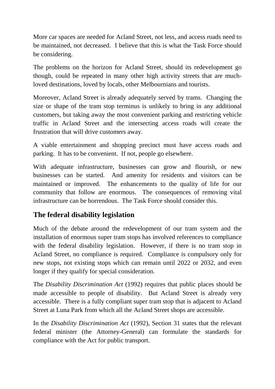More car spaces are needed for Acland Street, not less, and access roads need to be maintained, not decreased. I believe that this is what the Task Force should be considering.

The problems on the horizon for Acland Street, should its redevelopment go though, could be repeated in many other high activity streets that are muchloved destinations, loved by locals, other Melbournians and tourists.

Moreover, Acland Street is already adequately served by trams. Changing the size or shape of the tram stop terminus is unlikely to bring in any additional customers, but taking away the most convenient parking and restricting vehicle traffic in Acland Street and the intersecting access roads will create the frustration that will drive customers away.

A viable entertainment and shopping precinct must have access roads and parking. It has to be convenient. If not, people go elsewhere.

With adequate infrastructure, businesses can grow and flourish, or new businesses can be started. And amenity for residents and visitors can be maintained or improved. The enhancements to the quality of life for our community that follow are enormous. The consequences of removing vital infrastructure can be horrendous. The Task Force should consider this.

## **The federal disability legislation**

Much of the debate around the redevelopment of our tram system and the installation of enormous super tram stops has involved references to compliance with the federal disability legislation. However, if there is no tram stop in Acland Street, no compliance is required. Compliance is compulsory only for new stops, not existing stops which can remain until 2022 or 2032, and even longer if they qualify for special consideration.

The *Disability Discrimination Act* (1992) requires that public places should be made accessible to people of disability. But Acland Street is already very accessible. There is a fully compliant super tram stop that is adjacent to Acland Street at Luna Park from which all the Acland Street shops are accessible.

In the *Disability Discrimination Act* (1992), Section 31 states that the relevant federal minister (the Attorney-General) can formulate the standards for compliance with the Act for public transport.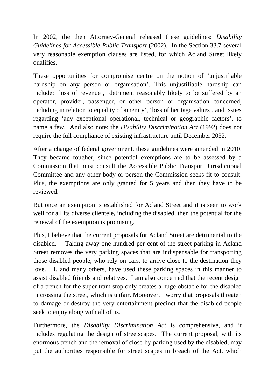In 2002, the then Attorney-General released these guidelines: *Disability Guidelines for Accessible Public Transport* (2002). In the Section 33.7 several very reasonable exemption clauses are listed, for which Acland Street likely qualifies.

These opportunities for compromise centre on the notion of 'unjustifiable hardship on any person or organisation'. This unjustifiable hardship can include: 'loss of revenue', 'detriment reasonably likely to be suffered by an operator, provider, passenger, or other person or organisation concerned, including in relation to equality of amenity', 'loss of heritage values', and issues regarding 'any exceptional operational, technical or geographic factors', to name a few. And also note: the *Disability Discrimination Act* (1992) does not require the full compliance of existing infrastructure until December 2032.

After a change of federal government, these guidelines were amended in 2010. They became tougher, since potential exemptions are to be assessed by a Commission that must consult the Accessible Public Transport Jurisdictional Committee and any other body or person the Commission seeks fit to consult. Plus, the exemptions are only granted for 5 years and then they have to be reviewed.

But once an exemption is established for Acland Street and it is seen to work well for all its diverse clientele, including the disabled, then the potential for the renewal of the exemption is promising.

Plus, I believe that the current proposals for Acland Street are detrimental to the disabled. Taking away one hundred per cent of the street parking in Acland Street removes the very parking spaces that are indispensable for transporting those disabled people, who rely on cars, to arrive close to the destination they love. I, and many others, have used these parking spaces in this manner to assist disabled friends and relatives. I am also concerned that the recent design of a trench for the super tram stop only creates a huge obstacle for the disabled in crossing the street, which is unfair. Moreover, I worry that proposals threaten to damage or destroy the very entertainment precinct that the disabled people seek to enjoy along with all of us.

Furthermore, the *Disability Discrimination Act* is comprehensive, and it includes regulating the design of streetscapes. The current proposal, with its enormous trench and the removal of close-by parking used by the disabled, may put the authorities responsible for street scapes in breach of the Act, which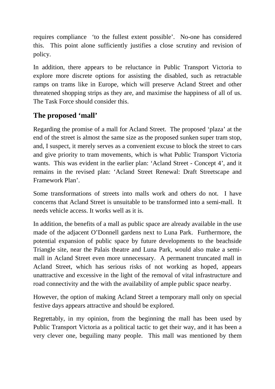requires compliance 'to the fullest extent possible'. No-one has considered this. This point alone sufficiently justifies a close scrutiny and revision of policy.

In addition, there appears to be reluctance in Public Transport Victoria to explore more discrete options for assisting the disabled, such as retractable ramps on trams like in Europe, which will preserve Acland Street and other threatened shopping strips as they are, and maximise the happiness of all of us. The Task Force should consider this.

## **The proposed 'mall'**

Regarding the promise of a mall for Acland Street. The proposed 'plaza' at the end of the street is almost the same size as the proposed sunken super tram stop, and, I suspect, it merely serves as a convenient excuse to block the street to cars and give priority to tram movements, which is what Public Transport Victoria wants. This was evident in the earlier plan: 'Acland Street - Concept 4', and it remains in the revised plan: 'Acland Street Renewal: Draft Streetscape and Framework Plan'.

Some transformations of streets into malls work and others do not. I have concerns that Acland Street is unsuitable to be transformed into a semi-mall. It needs vehicle access. It works well as it is.

In addition, the benefits of a mall as public space are already available in the use made of the adjacent O'Donnell gardens next to Luna Park. Furthermore, the potential expansion of public space by future developments to the beachside Triangle site, near the Palais theatre and Luna Park, would also make a semimall in Acland Street even more unnecessary. A permanent truncated mall in Acland Street, which has serious risks of not working as hoped, appears unattractive and excessive in the light of the removal of vital infrastructure and road connectivity and the with the availability of ample public space nearby.

However, the option of making Acland Street a temporary mall only on special festive days appears attractive and should be explored.

Regrettably, in my opinion, from the beginning the mall has been used by Public Transport Victoria as a political tactic to get their way, and it has been a very clever one, beguiling many people. This mall was mentioned by them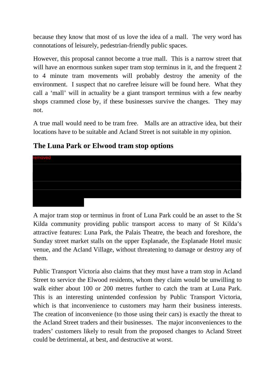because they know that most of us love the idea of a mall. The very word has connotations of leisurely, pedestrian-friendly public spaces.

However, this proposal cannot become a true mall. This is a narrow street that will have an enormous sunken super tram stop terminus in it, and the frequent 2 to 4 minute tram movements will probably destroy the amenity of the environment. I suspect that no carefree leisure will be found here. What they call a 'mall' will in actuality be a giant transport terminus with a few nearby shops crammed close by, if these businesses survive the changes. They may not.

A true mall would need to be tram free. Malls are an attractive idea, but their locations have to be suitable and Acland Street is not suitable in my opinion.

# **The Luna Park or Elwood tram stop options**



A major tram stop or terminus in front of Luna Park could be an asset to the St Kilda community providing public transport access to many of St Kilda's attractive features: Luna Park, the Palais Theatre, the beach and foreshore, the Sunday street market stalls on the upper Esplanade, the Esplanade Hotel music venue, and the Acland Village, without threatening to damage or destroy any of them.

Public Transport Victoria also claims that they must have a tram stop in Acland Street to service the Elwood residents, whom they claim would be unwilling to walk either about 100 or 200 metres further to catch the tram at Luna Park. This is an interesting unintended confession by Public Transport Victoria, which is that inconvenience to customers may harm their business interests. The creation of inconvenience (to those using their cars) is exactly the threat to the Acland Street traders and their businesses. The major inconveniences to the traders' customers likely to result from the proposed changes to Acland Street could be detrimental, at best, and destructive at worst.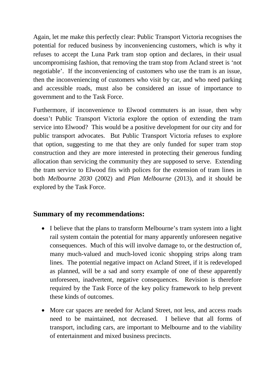Again, let me make this perfectly clear: Public Transport Victoria recognises the potential for reduced business by inconveniencing customers, which is why it refuses to accept the Luna Park tram stop option and declares, in their usual uncompromising fashion, that removing the tram stop from Acland street is 'not negotiable'. If the inconveniencing of customers who use the tram is an issue, then the inconveniencing of customers who visit by car, and who need parking and accessible roads, must also be considered an issue of importance to government and to the Task Force.

Furthermore, if inconvenience to Elwood commuters is an issue, then why doesn't Public Transport Victoria explore the option of extending the tram service into Elwood? This would be a positive development for our city and for public transport advocates. But Public Transport Victoria refuses to explore that option, suggesting to me that they are only funded for super tram stop construction and they are more interested in protecting their generous funding allocation than servicing the community they are supposed to serve. Extending the tram service to Elwood fits with polices for the extension of tram lines in both *Melbourne 2030* (2002) and *Plan Melbourne* (2013), and it should be explored by the Task Force.

### **Summary of my recommendations:**

- I believe that the plans to transform Melbourne's tram system into a light rail system contain the potential for many apparently unforeseen negative consequences. Much of this will involve damage to, or the destruction of, many much-valued and much-loved iconic shopping strips along tram lines. The potential negative impact on Acland Street, if it is redeveloped as planned, will be a sad and sorry example of one of these apparently unforeseen, inadvertent, negative consequences. Revision is therefore required by the Task Force of the key policy framework to help prevent these kinds of outcomes.
- More car spaces are needed for Acland Street, not less, and access roads need to be maintained, not decreased. I believe that all forms of transport, including cars, are important to Melbourne and to the viability of entertainment and mixed business precincts.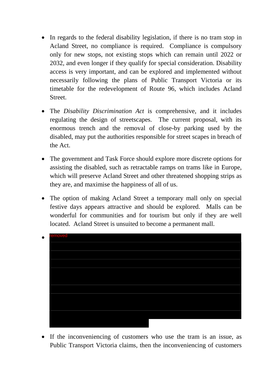- In regards to the federal disability legislation, if there is no tram stop in Acland Street, no compliance is required. Compliance is compulsory only for new stops, not existing stops which can remain until 2022 or 2032, and even longer if they qualify for special consideration. Disability access is very important, and can be explored and implemented without necessarily following the plans of Public Transport Victoria or its timetable for the redevelopment of Route 96, which includes Acland Street.
- The *Disability Discrimination Act* is comprehensive, and it includes regulating the design of streetscapes. The current proposal, with its enormous trench and the removal of close-by parking used by the disabled, may put the authorities responsible for street scapes in breach of the Act.
- The government and Task Force should explore more discrete options for assisting the disabled, such as retractable ramps on trams like in Europe, which will preserve Acland Street and other threatened shopping strips as they are, and maximise the happiness of all of us.
- The option of making Acland Street a temporary mall only on special festive days appears attractive and should be explored. Malls can be wonderful for communities and for tourism but only if they are well located. Acland Street is unsuited to become a permanent mall.



• If the inconveniencing of customers who use the tram is an issue, as Public Transport Victoria claims, then the inconveniencing of customers